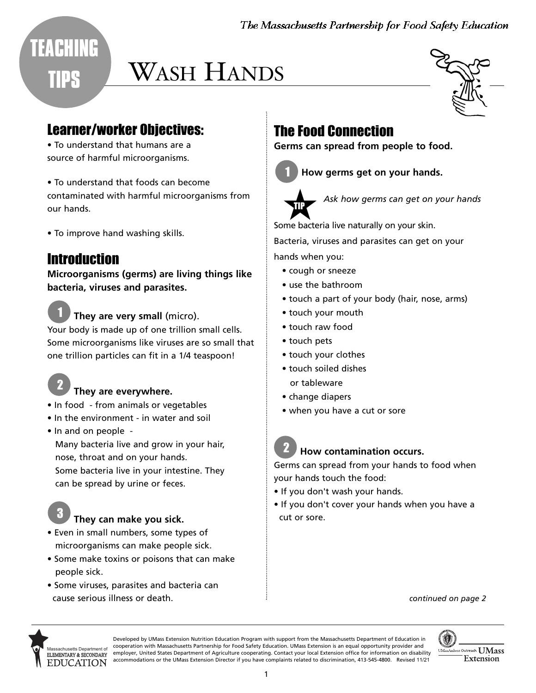The Massachusetts Partnership for Food Safety Education

# WASH HANDS

#### Learner/worker Objectives:

• To understand that humans are a source of harmful microorganisms.

• To understand that foods can become contaminated with harmful microorganisms from our hands.

• To improve hand washing skills.

#### Introduction

**TEACHING** 

**TIPS** 

**Microorganisms (germs) are living things like bacteria, viruses and parasites.**

**They are very small** (micro). Your body is made up of one trillion small cells. Some microorganisms like viruses are so small that one trillion particles can fit in a 1/4 teaspoon! 1

#### **They are everywhere.**

- In food from animals or vegetables
- In the environment in water and soil
- In and on people Many bacteria live and grow in your hair, nose, throat and on your hands. Some bacteria live in your intestine. They can be spread by urine or feces.

### **They can make you sick.**

- Even in small numbers, some types of microorganisms can make people sick.
- Some make toxins or poisons that can make people sick.
- Some viruses, parasites and bacteria can cause serious illness or death.

## The Food Connection

**Germs can spread from people to food.**





*Ask how germs can get on your hands*  Ask how germs can get on<br>Some bacteria live naturally on your skin.

Bacteria, viruses and parasites can get on your hands when you:

- cough or sneeze
- use the bathroom
- touch a part of your body (hair, nose, arms)
- touch your mouth
- touch raw food
- touch pets
- touch your clothes
- touch soiled dishes or tableware
- change diapers
- when you have a cut or sore

#### **How contamination occurs.** 2

Germs can spread from your hands to food when your hands touch the food:

- If you don't wash your hands.
- If you don't cover your hands when you have a cut or sore.





3

2

Developed by UMass Extension Nutrition Education Program with support from the Massachusetts Department of Education in cooperation with Massachusetts Partnership for Food Safety Education. UMass Extension is an equal opportunity provider and employer, United States Department of Agriculture cooperating. Contact your local Extension office for information on disability accommodations or the UMass Extension Director if you have complaints related to discrimination, 413-545-4800. Revised 11/21